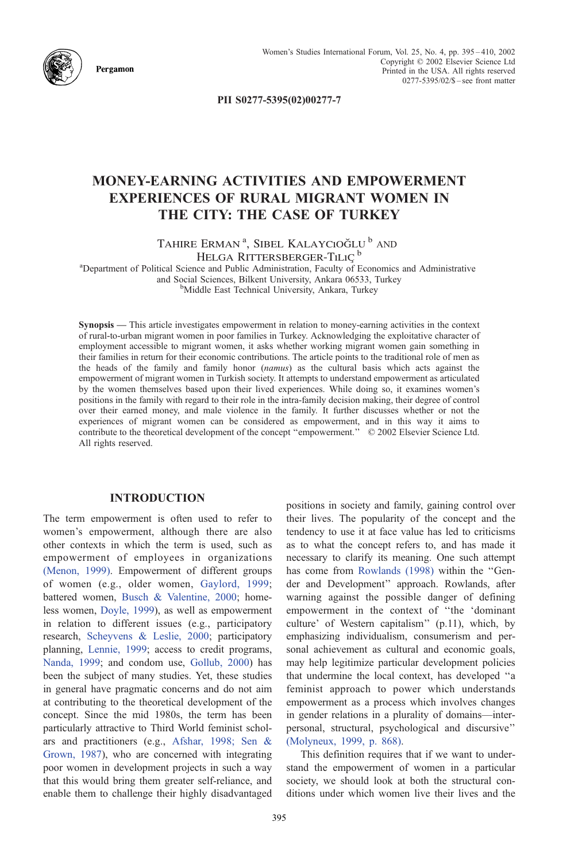

Pergamon

PII S0277-5395(02)00277-7

# MONEY-EARNING ACTIVITIES AND EMPOWERMENT EXPERIENCES OF RURAL MIGRANT WOMEN IN THE CITY: THE CASE OF TURKEY

Tahire Erman<sup>a</sup>, Sibel Kalaycıoğlu <sup>b</sup> and

HELGA RITTERSBERGER-TILIC<sup>b</sup>

a Department of Political Science and Public Administration, Faculty of Economics and Administrative

and Social Sciences, Bilkent University, Ankara 06533, Turkey <sup>b</sup>

<sup>b</sup>Middle East Technical University, Ankara, Turkey

Synopsis — This article investigates empowerment in relation to money-earning activities in the context of rural-to-urban migrant women in poor families in Turkey. Acknowledging the exploitative character of employment accessible to migrant women, it asks whether working migrant women gain something in their families in return for their economic contributions. The article points to the traditional role of men as the heads of the family and family honor (namus) as the cultural basis which acts against the empowerment of migrant women in Turkish society. It attempts to understand empowerment as articulated by the women themselves based upon their lived experiences. While doing so, it examines women's positions in the family with regard to their role in the intra-family decision making, their degree of control over their earned money, and male violence in the family. It further discusses whether or not the experiences of migrant women can be considered as empowerment, and in this way it aims to contribute to the theoretical development of the concept "empowerment." © 2002 Elsevier Science Ltd. All rights reserved.

# **INTRODUCTION**

The term empowerment is often used to refer to women's empowerment, although there are also other contexts in which the term is used, such as empowerment of employees in organizations [\(Menon, 1999\).](#page-15-0) Empowerment of different groups of women (e.g., older women, [Gaylord, 1999;](#page-14-0) battered women, [Busch & Valentine, 2000;](#page-14-0) homeless women, [Doyle, 1999\)](#page-14-0), as well as empowerment in relation to different issues (e.g., participatory research, [Scheyvens & Leslie, 2000;](#page-15-0) participatory planning, [Lennie, 1999;](#page-15-0) access to credit programs, [Nanda, 1999;](#page-15-0) and condom use, [Gollub, 2000\)](#page-14-0) has been the subject of many studies. Yet, these studies in general have pragmatic concerns and do not aim at contributing to the theoretical development of the concept. Since the mid 1980s, the term has been particularly attractive to Third World feminist scholars and practitioners (e.g., [Afshar, 1998; Sen &](#page-14-0) Grown, 1987), who are concerned with integrating poor women in development projects in such a way that this would bring them greater self-reliance, and enable them to challenge their highly disadvantaged

positions in society and family, gaining control over their lives. The popularity of the concept and the tendency to use it at face value has led to criticisms as to what the concept refers to, and has made it necessary to clarify its meaning. One such attempt has come from [Rowlands \(1998\)](#page-15-0) within the ''Gender and Development'' approach. Rowlands, after warning against the possible danger of defining empowerment in the context of ''the 'dominant culture' of Western capitalism'' (p.11), which, by emphasizing individualism, consumerism and personal achievement as cultural and economic goals, may help legitimize particular development policies that undermine the local context, has developed ''a feminist approach to power which understands empowerment as a process which involves changes in gender relations in a plurality of domains—interpersonal, structural, psychological and discursive'' [\(Molyneux, 1999, p. 868\).](#page-15-0)

This definition requires that if we want to understand the empowerment of women in a particular society, we should look at both the structural conditions under which women live their lives and the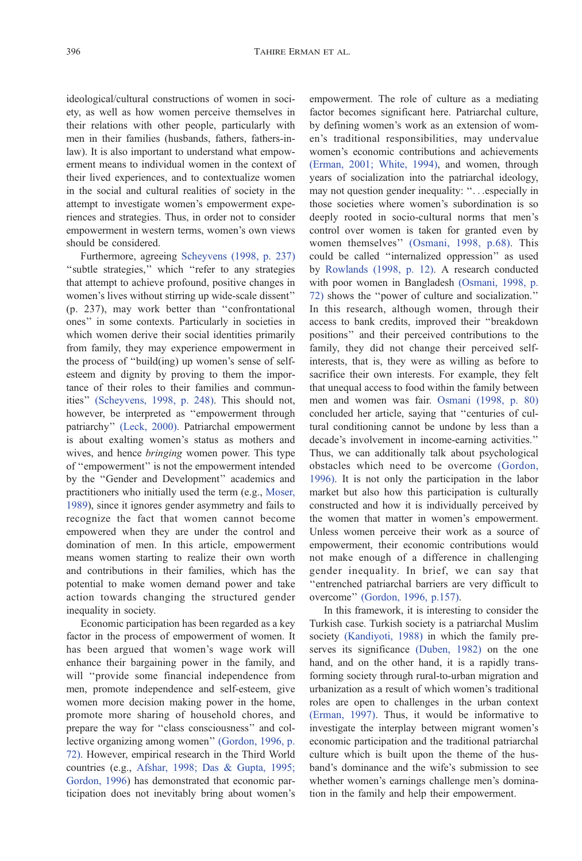ideological/cultural constructions of women in society, as well as how women perceive themselves in their relations with other people, particularly with men in their families (husbands, fathers, fathers-inlaw). It is also important to understand what empowerment means to individual women in the context of their lived experiences, and to contextualize women in the social and cultural realities of society in the attempt to investigate women's empowerment experiences and strategies. Thus, in order not to consider empowerment in western terms, women's own views should be considered.

Furthermore, agreeing [Scheyvens \(1998, p. 237\)](#page-15-0) "subtle strategies," which "refer to any strategies that attempt to achieve profound, positive changes in women's lives without stirring up wide-scale dissent'' (p. 237), may work better than ''confrontational ones'' in some contexts. Particularly in societies in which women derive their social identities primarily from family, they may experience empowerment in the process of ''build(ing) up women's sense of selfesteem and dignity by proving to them the importance of their roles to their families and communities'' [\(Scheyvens, 1998, p. 248\).](#page-15-0) This should not, however, be interpreted as ''empowerment through patriarchy'' [\(Leck, 2000\).](#page-15-0) Patriarchal empowerment is about exalting women's status as mothers and wives, and hence bringing women power. This type of ''empowerment'' is not the empowerment intended by the ''Gender and Development'' academics and practitioners who initially used the term (e.g., [Moser,](#page-15-0) 1989), since it ignores gender asymmetry and fails to recognize the fact that women cannot become empowered when they are under the control and domination of men. In this article, empowerment means women starting to realize their own worth and contributions in their families, which has the potential to make women demand power and take action towards changing the structured gender inequality in society.

Economic participation has been regarded as a key factor in the process of empowerment of women. It has been argued that women's wage work will enhance their bargaining power in the family, and will ''provide some financial independence from men, promote independence and self-esteem, give women more decision making power in the home, promote more sharing of household chores, and prepare the way for ''class consciousness'' and collective organizing among women'' [\(Gordon, 1996, p.](#page-14-0) 72). However, empirical research in the Third World countries (e.g., [Afshar, 1998; Das & Gupta, 1995;](#page-14-0) Gordon, 1996) has demonstrated that economic participation does not inevitably bring about women's empowerment. The role of culture as a mediating factor becomes significant here. Patriarchal culture, by defining women's work as an extension of women's traditional responsibilities, may undervalue women's economic contributions and achievements [\(Erman, 2001; White, 1994\),](#page-14-0) and women, through years of socialization into the patriarchal ideology, may not question gender inequality: ''...especially in those societies where women's subordination is so deeply rooted in socio-cultural norms that men's control over women is taken for granted even by women themselves'' [\(Osmani, 1998, p.68\).](#page-15-0) This could be called ''internalized oppression'' as used by [Rowlands \(1998, p. 12\).](#page-15-0) A research conducted with poor women in Bangladesh [\(Osmani, 1998, p.](#page-15-0) 72) shows the ''power of culture and socialization.'' In this research, although women, through their access to bank credits, improved their ''breakdown positions'' and their perceived contributions to the family, they did not change their perceived selfinterests, that is, they were as willing as before to sacrifice their own interests. For example, they felt that unequal access to food within the family between men and women was fair. [Osmani \(1998, p. 80\)](#page-15-0) concluded her article, saying that ''centuries of cultural conditioning cannot be undone by less than a decade's involvement in income-earning activities.'' Thus, we can additionally talk about psychological obstacles which need to be overcome [\(Gordon,](#page-14-0) 1996). It is not only the participation in the labor market but also how this participation is culturally constructed and how it is individually perceived by the women that matter in women's empowerment. Unless women perceive their work as a source of empowerment, their economic contributions would not make enough of a difference in challenging gender inequality. In brief, we can say that ''entrenched patriarchal barriers are very difficult to overcome'' [\(Gordon, 1996, p.157\).](#page-14-0)

In this framework, it is interesting to consider the Turkish case. Turkish society is a patriarchal Muslim society [\(Kandiyoti, 1988\)](#page-14-0) in which the family preserves its significance [\(Duben, 1982\)](#page-14-0) on the one hand, and on the other hand, it is a rapidly transforming society through rural-to-urban migration and urbanization as a result of which women's traditional roles are open to challenges in the urban context [\(Erman, 1997\).](#page-14-0) Thus, it would be informative to investigate the interplay between migrant women's economic participation and the traditional patriarchal culture which is built upon the theme of the husband's dominance and the wife's submission to see whether women's earnings challenge men's domination in the family and help their empowerment.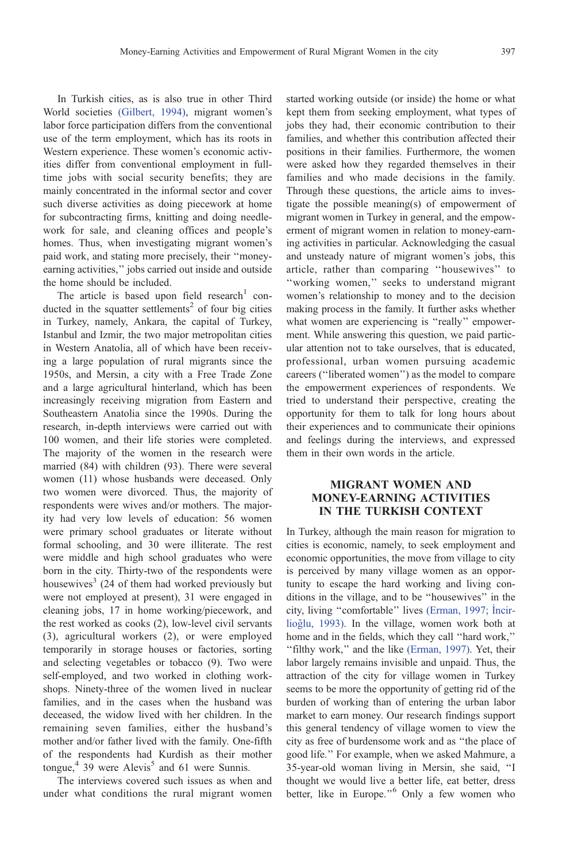In Turkish cities, as is also true in other Third World societies [\(Gilbert, 1994\),](#page-14-0) migrant women's labor force participation differs from the conventional use of the term employment, which has its roots in Western experience. These women's economic activities differ from conventional employment in fulltime jobs with social security benefits; they are mainly concentrated in the informal sector and cover such diverse activities as doing piecework at home for subcontracting firms, knitting and doing needlework for sale, and cleaning offices and people's homes. Thus, when investigating migrant women's paid work, and stating more precisely, their ''moneyearning activities,'' jobs carried out inside and outside the home should be included.

The article is based upon field research<sup>1</sup> conducted in the squatter settlements<sup>2</sup> of four big cities in Turkey, namely, Ankara, the capital of Turkey, Istanbul and Izmir, the two major metropolitan cities in Western Anatolia, all of which have been receiving a large population of rural migrants since the 1950s, and Mersin, a city with a Free Trade Zone and a large agricultural hinterland, which has been increasingly receiving migration from Eastern and Southeastern Anatolia since the 1990s. During the research, in-depth interviews were carried out with 100 women, and their life stories were completed. The majority of the women in the research were married (84) with children (93). There were several women (11) whose husbands were deceased. Only two women were divorced. Thus, the majority of respondents were wives and/or mothers. The majority had very low levels of education: 56 women were primary school graduates or literate without formal schooling, and 30 were illiterate. The rest were middle and high school graduates who were born in the city. Thirty-two of the respondents were housewives<sup>3</sup> (24 of them had worked previously but were not employed at present), 31 were engaged in cleaning jobs, 17 in home working/piecework, and the rest worked as cooks (2), low-level civil servants (3), agricultural workers (2), or were employed temporarily in storage houses or factories, sorting and selecting vegetables or tobacco (9). Two were self-employed, and two worked in clothing workshops. Ninety-three of the women lived in nuclear families, and in the cases when the husband was deceased, the widow lived with her children. In the remaining seven families, either the husband's mother and/or father lived with the family. One-fifth of the respondents had Kurdish as their mother tongue, $4$  39 were Alevis<sup>5</sup> and 61 were Sunnis.

The interviews covered such issues as when and under what conditions the rural migrant women

started working outside (or inside) the home or what kept them from seeking employment, what types of jobs they had, their economic contribution to their families, and whether this contribution affected their positions in their families. Furthermore, the women were asked how they regarded themselves in their families and who made decisions in the family. Through these questions, the article aims to investigate the possible meaning(s) of empowerment of migrant women in Turkey in general, and the empowerment of migrant women in relation to money-earning activities in particular. Acknowledging the casual and unsteady nature of migrant women's jobs, this article, rather than comparing ''housewives'' to ''working women,'' seeks to understand migrant women's relationship to money and to the decision making process in the family. It further asks whether what women are experiencing is "really" empowerment. While answering this question, we paid particular attention not to take ourselves, that is educated, professional, urban women pursuing academic careers (''liberated women'') as the model to compare the empowerment experiences of respondents. We tried to understand their perspective, creating the opportunity for them to talk for long hours about their experiences and to communicate their opinions and feelings during the interviews, and expressed them in their own words in the article.

# MIGRANT WOMEN AND MONEY-EARNING ACTIVITIES IN THE TURKISH CONTEXT

In Turkey, although the main reason for migration to cities is economic, namely, to seek employment and economic opportunities, the move from village to city is perceived by many village women as an opportunity to escape the hard working and living conditions in the village, and to be ''housewives'' in the city, living "comfortable" lives (Erman, 1997; Incirlioğlu, 1993). In the village, women work both at home and in the fields, which they call ''hard work,'' "filthy work," and the like [\(Erman, 1997\).](#page-14-0) Yet, their labor largely remains invisible and unpaid. Thus, the attraction of the city for village women in Turkey seems to be more the opportunity of getting rid of the burden of working than of entering the urban labor market to earn money. Our research findings support this general tendency of village women to view the city as free of burdensome work and as ''the place of good life.'' For example, when we asked Mahmure, a 35-year-old woman living in Mersin, she said, ''I thought we would live a better life, eat better, dress better, like in Europe."<sup>6</sup> Only a few women who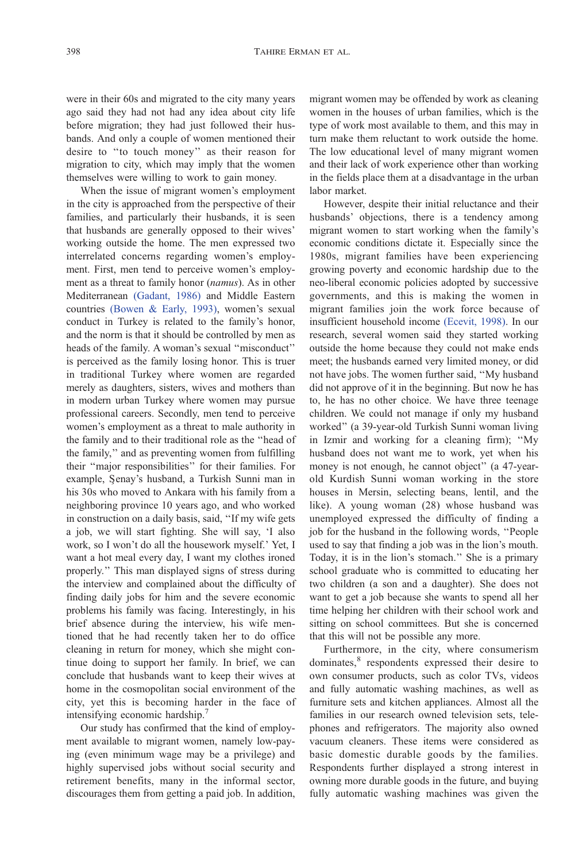were in their 60s and migrated to the city many years ago said they had not had any idea about city life before migration; they had just followed their husbands. And only a couple of women mentioned their desire to ''to touch money'' as their reason for migration to city, which may imply that the women themselves were willing to work to gain money.

When the issue of migrant women's employment in the city is approached from the perspective of their families, and particularly their husbands, it is seen that husbands are generally opposed to their wives' working outside the home. The men expressed two interrelated concerns regarding women's employment. First, men tend to perceive women's employment as a threat to family honor (namus). As in other Mediterranean [\(Gadant, 1986\)](#page-14-0) and Middle Eastern countries [\(Bowen & Early, 1993\),](#page-14-0) women's sexual conduct in Turkey is related to the family's honor, and the norm is that it should be controlled by men as heads of the family. A woman's sexual ''misconduct'' is perceived as the family losing honor. This is truer in traditional Turkey where women are regarded merely as daughters, sisters, wives and mothers than in modern urban Turkey where women may pursue professional careers. Secondly, men tend to perceive women's employment as a threat to male authority in the family and to their traditional role as the ''head of the family,'' and as preventing women from fulfilling their ''major responsibilities'' for their families. For example, Senay's husband, a Turkish Sunni man in his 30s who moved to Ankara with his family from a neighboring province 10 years ago, and who worked in construction on a daily basis, said, ''If my wife gets a job, we will start fighting. She will say, 'I also work, so I won't do all the housework myself.' Yet, I want a hot meal every day, I want my clothes ironed properly.'' This man displayed signs of stress during the interview and complained about the difficulty of finding daily jobs for him and the severe economic problems his family was facing. Interestingly, in his brief absence during the interview, his wife mentioned that he had recently taken her to do office cleaning in return for money, which she might continue doing to support her family. In brief, we can conclude that husbands want to keep their wives at home in the cosmopolitan social environment of the city, yet this is becoming harder in the face of intensifying economic hardship.7

Our study has confirmed that the kind of employment available to migrant women, namely low-paying (even minimum wage may be a privilege) and highly supervised jobs without social security and retirement benefits, many in the informal sector, discourages them from getting a paid job. In addition,

migrant women may be offended by work as cleaning women in the houses of urban families, which is the type of work most available to them, and this may in turn make them reluctant to work outside the home. The low educational level of many migrant women and their lack of work experience other than working in the fields place them at a disadvantage in the urban labor market.

However, despite their initial reluctance and their husbands' objections, there is a tendency among migrant women to start working when the family's economic conditions dictate it. Especially since the 1980s, migrant families have been experiencing growing poverty and economic hardship due to the neo-liberal economic policies adopted by successive governments, and this is making the women in migrant families join the work force because of insufficient household income [\(Ecevit, 1998\).](#page-14-0) In our research, several women said they started working outside the home because they could not make ends meet; the husbands earned very limited money, or did not have jobs. The women further said, ''My husband did not approve of it in the beginning. But now he has to, he has no other choice. We have three teenage children. We could not manage if only my husband worked'' (a 39-year-old Turkish Sunni woman living in Izmir and working for a cleaning firm); ''My husband does not want me to work, yet when his money is not enough, he cannot object'' (a 47-yearold Kurdish Sunni woman working in the store houses in Mersin, selecting beans, lentil, and the like). A young woman (28) whose husband was unemployed expressed the difficulty of finding a job for the husband in the following words, ''People used to say that finding a job was in the lion's mouth. Today, it is in the lion's stomach.'' She is a primary school graduate who is committed to educating her two children (a son and a daughter). She does not want to get a job because she wants to spend all her time helping her children with their school work and sitting on school committees. But she is concerned that this will not be possible any more.

Furthermore, in the city, where consumerism dominates,<sup>8</sup> respondents expressed their desire to own consumer products, such as color TVs, videos and fully automatic washing machines, as well as furniture sets and kitchen appliances. Almost all the families in our research owned television sets, telephones and refrigerators. The majority also owned vacuum cleaners. These items were considered as basic domestic durable goods by the families. Respondents further displayed a strong interest in owning more durable goods in the future, and buying fully automatic washing machines was given the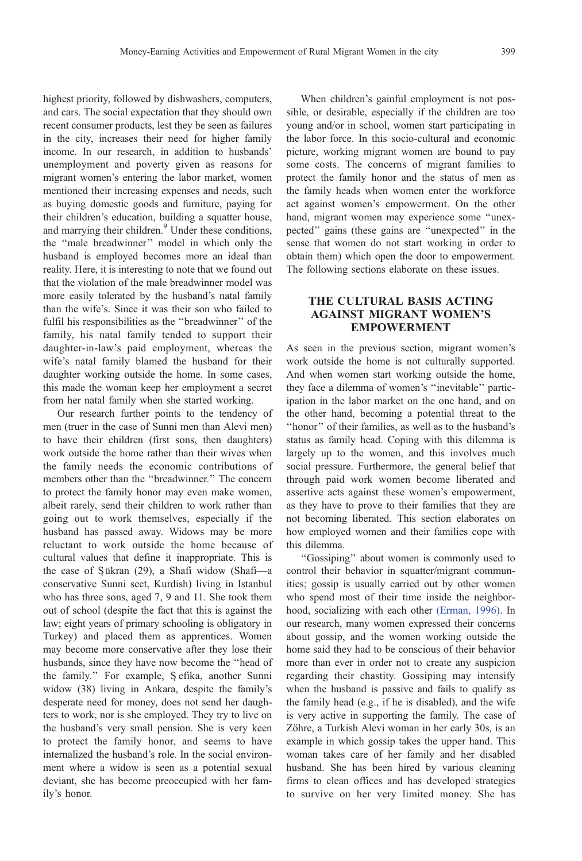highest priority, followed by dishwashers, computers, and cars. The social expectation that they should own recent consumer products, lest they be seen as failures in the city, increases their need for higher family income. In our research, in addition to husbands' unemployment and poverty given as reasons for migrant women's entering the labor market, women mentioned their increasing expenses and needs, such as buying domestic goods and furniture, paying for their children's education, building a squatter house, and marrying their children.<sup>9</sup> Under these conditions, the ''male breadwinner'' model in which only the husband is employed becomes more an ideal than reality. Here, it is interesting to note that we found out that the violation of the male breadwinner model was more easily tolerated by the husband's natal family than the wife's. Since it was their son who failed to fulfil his responsibilities as the ''breadwinner'' of the family, his natal family tended to support their daughter-in-law's paid employment, whereas the wife's natal family blamed the husband for their daughter working outside the home. In some cases, this made the woman keep her employment a secret from her natal family when she started working.

Our research further points to the tendency of men (truer in the case of Sunni men than Alevi men) to have their children (first sons, then daughters) work outside the home rather than their wives when the family needs the economic contributions of members other than the ''breadwinner.'' The concern to protect the family honor may even make women, albeit rarely, send their children to work rather than going out to work themselves, especially if the husband has passed away. Widows may be more reluctant to work outside the home because of cultural values that define it inappropriate. This is the case of Sükran  $(29)$ , a Shafi widow (Shafi—a conservative Sunni sect, Kurdish) living in Istanbul who has three sons, aged 7, 9 and 11. She took them out of school (despite the fact that this is against the law; eight years of primary schooling is obligatory in Turkey) and placed them as apprentices. Women may become more conservative after they lose their husbands, since they have now become the ''head of the family.'' For example, S efika, another Sunni widow (38) living in Ankara, despite the family's desperate need for money, does not send her daughters to work, nor is she employed. They try to live on the husband's very small pension. She is very keen to protect the family honor, and seems to have internalized the husband's role. In the social environment where a widow is seen as a potential sexual deviant, she has become preoccupied with her family's honor.

When children's gainful employment is not possible, or desirable, especially if the children are too young and/or in school, women start participating in the labor force. In this socio-cultural and economic picture, working migrant women are bound to pay some costs. The concerns of migrant families to protect the family honor and the status of men as the family heads when women enter the workforce act against women's empowerment. On the other hand, migrant women may experience some ''unexpected'' gains (these gains are ''unexpected'' in the sense that women do not start working in order to obtain them) which open the door to empowerment. The following sections elaborate on these issues.

# THE CULTURAL BASIS ACTING AGAINST MIGRANT WOMEN'S EMPOWERMENT

As seen in the previous section, migrant women's work outside the home is not culturally supported. And when women start working outside the home, they face a dilemma of women's ''inevitable'' participation in the labor market on the one hand, and on the other hand, becoming a potential threat to the ''honor'' of their families, as well as to the husband's status as family head. Coping with this dilemma is largely up to the women, and this involves much social pressure. Furthermore, the general belief that through paid work women become liberated and assertive acts against these women's empowerment, as they have to prove to their families that they are not becoming liberated. This section elaborates on how employed women and their families cope with this dilemma.

''Gossiping'' about women is commonly used to control their behavior in squatter/migrant communities; gossip is usually carried out by other women who spend most of their time inside the neighborhood, socializing with each other [\(Erman, 1996\).](#page-14-0) In our research, many women expressed their concerns about gossip, and the women working outside the home said they had to be conscious of their behavior more than ever in order not to create any suspicion regarding their chastity. Gossiping may intensify when the husband is passive and fails to qualify as the family head (e.g., if he is disabled), and the wife is very active in supporting the family. The case of Zöhre, a Turkish Alevi woman in her early 30s, is an example in which gossip takes the upper hand. This woman takes care of her family and her disabled husband. She has been hired by various cleaning firms to clean offices and has developed strategies to survive on her very limited money. She has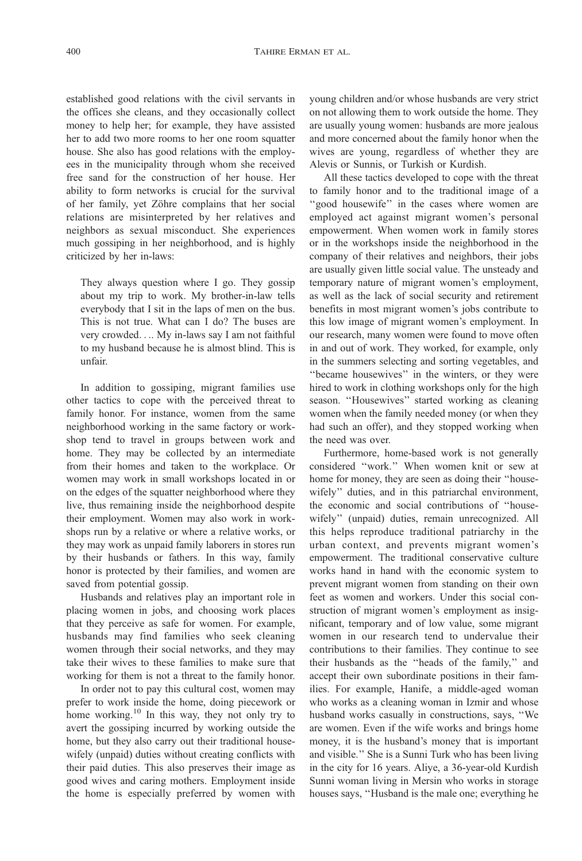established good relations with the civil servants in the offices she cleans, and they occasionally collect money to help her; for example, they have assisted her to add two more rooms to her one room squatter house. She also has good relations with the employees in the municipality through whom she received free sand for the construction of her house. Her ability to form networks is crucial for the survival of her family, yet Zöhre complains that her social relations are misinterpreted by her relatives and neighbors as sexual misconduct. She experiences much gossiping in her neighborhood, and is highly criticized by her in-laws:

They always question where I go. They gossip about my trip to work. My brother-in-law tells everybody that I sit in the laps of men on the bus. This is not true. What can I do? The buses are very crowded.... My in-laws say I am not faithful to my husband because he is almost blind. This is unfair.

In addition to gossiping, migrant families use other tactics to cope with the perceived threat to family honor. For instance, women from the same neighborhood working in the same factory or workshop tend to travel in groups between work and home. They may be collected by an intermediate from their homes and taken to the workplace. Or women may work in small workshops located in or on the edges of the squatter neighborhood where they live, thus remaining inside the neighborhood despite their employment. Women may also work in workshops run by a relative or where a relative works, or they may work as unpaid family laborers in stores run by their husbands or fathers. In this way, family honor is protected by their families, and women are saved from potential gossip.

Husbands and relatives play an important role in placing women in jobs, and choosing work places that they perceive as safe for women. For example, husbands may find families who seek cleaning women through their social networks, and they may take their wives to these families to make sure that working for them is not a threat to the family honor.

In order not to pay this cultural cost, women may prefer to work inside the home, doing piecework or home working.<sup>10</sup> In this way, they not only try to avert the gossiping incurred by working outside the home, but they also carry out their traditional housewifely (unpaid) duties without creating conflicts with their paid duties. This also preserves their image as good wives and caring mothers. Employment inside the home is especially preferred by women with

young children and/or whose husbands are very strict on not allowing them to work outside the home. They are usually young women: husbands are more jealous and more concerned about the family honor when the wives are young, regardless of whether they are Alevis or Sunnis, or Turkish or Kurdish.

All these tactics developed to cope with the threat to family honor and to the traditional image of a "good housewife" in the cases where women are employed act against migrant women's personal empowerment. When women work in family stores or in the workshops inside the neighborhood in the company of their relatives and neighbors, their jobs are usually given little social value. The unsteady and temporary nature of migrant women's employment, as well as the lack of social security and retirement benefits in most migrant women's jobs contribute to this low image of migrant women's employment. In our research, many women were found to move often in and out of work. They worked, for example, only in the summers selecting and sorting vegetables, and "became housewives" in the winters, or they were hired to work in clothing workshops only for the high season. ''Housewives'' started working as cleaning women when the family needed money (or when they had such an offer), and they stopped working when the need was over.

Furthermore, home-based work is not generally considered ''work.'' When women knit or sew at home for money, they are seen as doing their ''housewifely'' duties, and in this patriarchal environment, the economic and social contributions of ''housewifely'' (unpaid) duties, remain unrecognized. All this helps reproduce traditional patriarchy in the urban context, and prevents migrant women's empowerment. The traditional conservative culture works hand in hand with the economic system to prevent migrant women from standing on their own feet as women and workers. Under this social construction of migrant women's employment as insignificant, temporary and of low value, some migrant women in our research tend to undervalue their contributions to their families. They continue to see their husbands as the ''heads of the family,'' and accept their own subordinate positions in their families. For example, Hanife, a middle-aged woman who works as a cleaning woman in Izmir and whose husband works casually in constructions, says, ''We are women. Even if the wife works and brings home money, it is the husband's money that is important and visible.'' She is a Sunni Turk who has been living in the city for 16 years. Aliye, a 36-year-old Kurdish Sunni woman living in Mersin who works in storage houses says, ''Husband is the male one; everything he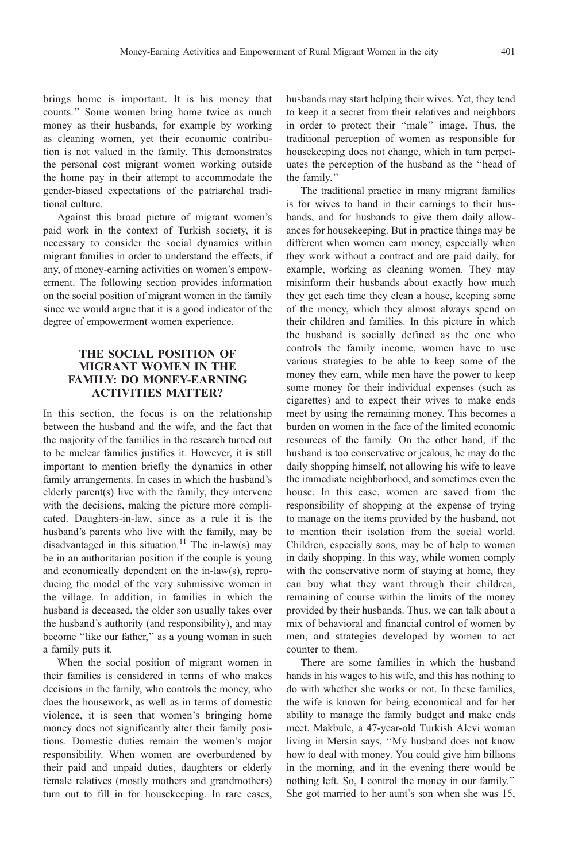brings home is important. It is his money that counts.'' Some women bring home twice as much money as their husbands, for example by working as cleaning women, yet their economic contribution is not valued in the family. This demonstrates the personal cost migrant women working outside the home pay in their attempt to accommodate the gender-biased expectations of the patriarchal traditional culture.

Against this broad picture of migrant women's paid work in the context of Turkish society, it is necessary to consider the social dynamics within migrant families in order to understand the effects, if any, of money-earning activities on women's empowerment. The following section provides information on the social position of migrant women in the family since we would argue that it is a good indicator of the degree of empowerment women experience.

# THE SOCIAL POSITION OF MIGRANT WOMEN IN THE FAMILY: DO MONEY-EARNING ACTIVITIES MATTER?

In this section, the focus is on the relationship between the husband and the wife, and the fact that the majority of the families in the research turned out to be nuclear families justifies it. However, it is still important to mention briefly the dynamics in other family arrangements. In cases in which the husband's elderly parent(s) live with the family, they intervene with the decisions, making the picture more complicated. Daughters-in-law, since as a rule it is the husband's parents who live with the family, may be disadvantaged in this situation.<sup>11</sup> The in-law(s) may be in an authoritarian position if the couple is young and economically dependent on the in-law(s), reproducing the model of the very submissive women in the village. In addition, in families in which the husband is deceased, the older son usually takes over the husband's authority (and responsibility), and may become "like our father," as a young woman in such a family puts it.

When the social position of migrant women in their families is considered in terms of who makes decisions in the family, who controls the money, who does the housework, as well as in terms of domestic violence, it is seen that women's bringing home money does not significantly alter their family positions. Domestic duties remain the women's major responsibility. When women are overburdened by their paid and unpaid duties, daughters or elderly female relatives (mostly mothers and grandmothers) turn out to fill in for housekeeping. In rare cases, husbands may start helping their wives. Yet, they tend to keep it a secret from their relatives and neighbors in order to protect their ''male'' image. Thus, the traditional perception of women as responsible for housekeeping does not change, which in turn perpetuates the perception of the husband as the ''head of the family.''

The traditional practice in many migrant families is for wives to hand in their earnings to their husbands, and for husbands to give them daily allowances for housekeeping. But in practice things may be different when women earn money, especially when they work without a contract and are paid daily, for example, working as cleaning women. They may misinform their husbands about exactly how much they get each time they clean a house, keeping some of the money, which they almost always spend on their children and families. In this picture in which the husband is socially defined as the one who controls the family income, women have to use various strategies to be able to keep some of the money they earn, while men have the power to keep some money for their individual expenses (such as cigarettes) and to expect their wives to make ends meet by using the remaining money. This becomes a burden on women in the face of the limited economic resources of the family. On the other hand, if the husband is too conservative or jealous, he may do the daily shopping himself, not allowing his wife to leave the immediate neighborhood, and sometimes even the house. In this case, women are saved from the responsibility of shopping at the expense of trying to manage on the items provided by the husband, not to mention their isolation from the social world. Children, especially sons, may be of help to women in daily shopping. In this way, while women comply with the conservative norm of staying at home, they can buy what they want through their children, remaining of course within the limits of the money provided by their husbands. Thus, we can talk about a mix of behavioral and financial control of women by men, and strategies developed by women to act counter to them.

There are some families in which the husband hands in his wages to his wife, and this has nothing to do with whether she works or not. In these families, the wife is known for being economical and for her ability to manage the family budget and make ends meet. Makbule, a 47-year-old Turkish Alevi woman living in Mersin says, ''My husband does not know how to deal with money. You could give him billions in the morning, and in the evening there would be nothing left. So, I control the money in our family.'' She got married to her aunt's son when she was 15,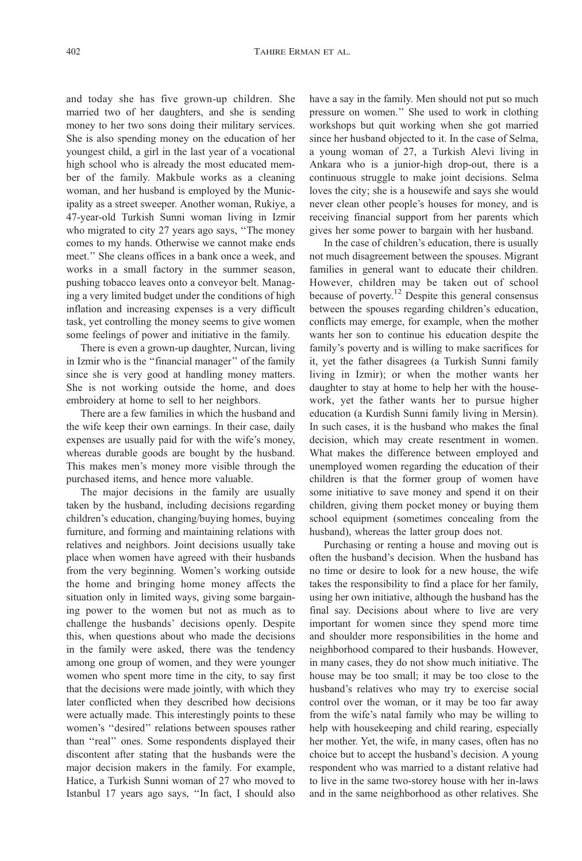and today she has five grown-up children. She married two of her daughters, and she is sending money to her two sons doing their military services. She is also spending money on the education of her youngest child, a girl in the last year of a vocational high school who is already the most educated member of the family. Makbule works as a cleaning woman, and her husband is employed by the Municipality as a street sweeper. Another woman, Rukiye, a 47-year-old Turkish Sunni woman living in Izmir who migrated to city 27 years ago says, ''The money comes to my hands. Otherwise we cannot make ends meet.'' She cleans offices in a bank once a week, and works in a small factory in the summer season, pushing tobacco leaves onto a conveyor belt. Managing a very limited budget under the conditions of high inflation and increasing expenses is a very difficult task, yet controlling the money seems to give women some feelings of power and initiative in the family.

There is even a grown-up daughter, Nurcan, living in Izmir who is the ''financial manager'' of the family since she is very good at handling money matters. She is not working outside the home, and does embroidery at home to sell to her neighbors.

There are a few families in which the husband and the wife keep their own earnings. In their case, daily expenses are usually paid for with the wife's money, whereas durable goods are bought by the husband. This makes men's money more visible through the purchased items, and hence more valuable.

The major decisions in the family are usually taken by the husband, including decisions regarding children's education, changing/buying homes, buying furniture, and forming and maintaining relations with relatives and neighbors. Joint decisions usually take place when women have agreed with their husbands from the very beginning. Women's working outside the home and bringing home money affects the situation only in limited ways, giving some bargaining power to the women but not as much as to challenge the husbands' decisions openly. Despite this, when questions about who made the decisions in the family were asked, there was the tendency among one group of women, and they were younger women who spent more time in the city, to say first that the decisions were made jointly, with which they later conflicted when they described how decisions were actually made. This interestingly points to these women's ''desired'' relations between spouses rather than ''real'' ones. Some respondents displayed their discontent after stating that the husbands were the major decision makers in the family. For example, Hatice, a Turkish Sunni woman of 27 who moved to Istanbul 17 years ago says, ''In fact, I should also

have a say in the family. Men should not put so much pressure on women.'' She used to work in clothing workshops but quit working when she got married since her husband objected to it. In the case of Selma, a young woman of 27, a Turkish Alevi living in Ankara who is a junior-high drop-out, there is a continuous struggle to make joint decisions. Selma loves the city; she is a housewife and says she would never clean other people's houses for money, and is receiving financial support from her parents which gives her some power to bargain with her husband.

In the case of children's education, there is usually not much disagreement between the spouses. Migrant families in general want to educate their children. However, children may be taken out of school because of poverty.<sup>12</sup> Despite this general consensus between the spouses regarding children's education, conflicts may emerge, for example, when the mother wants her son to continue his education despite the family's poverty and is willing to make sacrifices for it, yet the father disagrees (a Turkish Sunni family living in Izmir); or when the mother wants her daughter to stay at home to help her with the housework, yet the father wants her to pursue higher education (a Kurdish Sunni family living in Mersin). In such cases, it is the husband who makes the final decision, which may create resentment in women. What makes the difference between employed and unemployed women regarding the education of their children is that the former group of women have some initiative to save money and spend it on their children, giving them pocket money or buying them school equipment (sometimes concealing from the husband), whereas the latter group does not.

Purchasing or renting a house and moving out is often the husband's decision. When the husband has no time or desire to look for a new house, the wife takes the responsibility to find a place for her family, using her own initiative, although the husband has the final say. Decisions about where to live are very important for women since they spend more time and shoulder more responsibilities in the home and neighborhood compared to their husbands. However, in many cases, they do not show much initiative. The house may be too small; it may be too close to the husband's relatives who may try to exercise social control over the woman, or it may be too far away from the wife's natal family who may be willing to help with housekeeping and child rearing, especially her mother. Yet, the wife, in many cases, often has no choice but to accept the husband's decision. A young respondent who was married to a distant relative had to live in the same two-storey house with her in-laws and in the same neighborhood as other relatives. She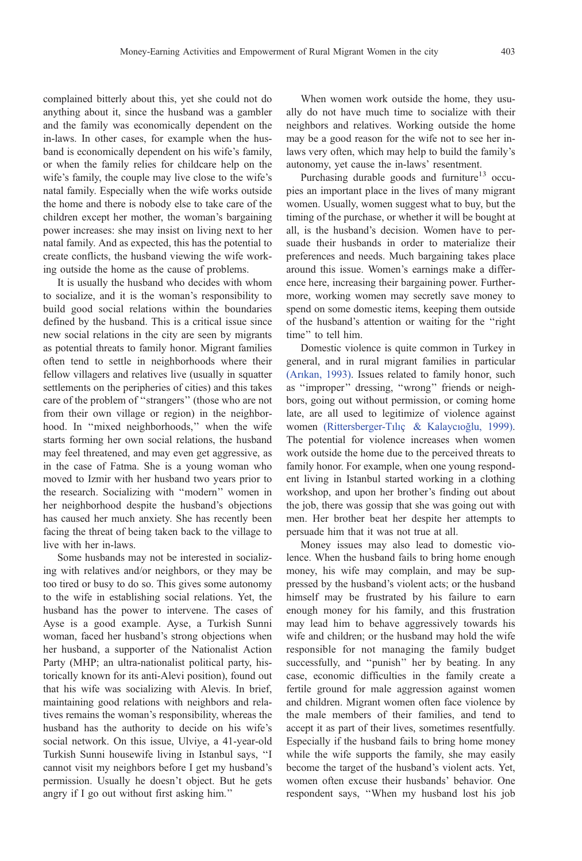complained bitterly about this, yet she could not do anything about it, since the husband was a gambler and the family was economically dependent on the in-laws. In other cases, for example when the husband is economically dependent on his wife's family, or when the family relies for childcare help on the wife's family, the couple may live close to the wife's natal family. Especially when the wife works outside the home and there is nobody else to take care of the children except her mother, the woman's bargaining power increases: she may insist on living next to her natal family. And as expected, this has the potential to create conflicts, the husband viewing the wife working outside the home as the cause of problems.

It is usually the husband who decides with whom to socialize, and it is the woman's responsibility to build good social relations within the boundaries defined by the husband. This is a critical issue since new social relations in the city are seen by migrants as potential threats to family honor. Migrant families often tend to settle in neighborhoods where their fellow villagers and relatives live (usually in squatter settlements on the peripheries of cities) and this takes care of the problem of ''strangers'' (those who are not from their own village or region) in the neighborhood. In ''mixed neighborhoods,'' when the wife starts forming her own social relations, the husband may feel threatened, and may even get aggressive, as in the case of Fatma. She is a young woman who moved to Izmir with her husband two years prior to the research. Socializing with ''modern'' women in her neighborhood despite the husband's objections has caused her much anxiety. She has recently been facing the threat of being taken back to the village to live with her in-laws.

Some husbands may not be interested in socializing with relatives and/or neighbors, or they may be too tired or busy to do so. This gives some autonomy to the wife in establishing social relations. Yet, the husband has the power to intervene. The cases of Ayse is a good example. Ayse, a Turkish Sunni woman, faced her husband's strong objections when her husband, a supporter of the Nationalist Action Party (MHP; an ultra-nationalist political party, historically known for its anti-Alevi position), found out that his wife was socializing with Alevis. In brief, maintaining good relations with neighbors and relatives remains the woman's responsibility, whereas the husband has the authority to decide on his wife's social network. On this issue, Ulviye, a 41-year-old Turkish Sunni housewife living in Istanbul says, ''I cannot visit my neighbors before I get my husband's permission. Usually he doesn't object. But he gets angry if I go out without first asking him.''

When women work outside the home, they usually do not have much time to socialize with their neighbors and relatives. Working outside the home may be a good reason for the wife not to see her inlaws very often, which may help to build the family's autonomy, yet cause the in-laws' resentment.

Purchasing durable goods and furniture $13$  occupies an important place in the lives of many migrant women. Usually, women suggest what to buy, but the timing of the purchase, or whether it will be bought at all, is the husband's decision. Women have to persuade their husbands in order to materialize their preferences and needs. Much bargaining takes place around this issue. Women's earnings make a difference here, increasing their bargaining power. Furthermore, working women may secretly save money to spend on some domestic items, keeping them outside of the husband's attention or waiting for the ''right time'' to tell him.

Domestic violence is quite common in Turkey in general, and in rural migrant families in particular [\(Arıkan, 1993\).](#page-14-0) Issues related to family honor, such as ''improper'' dressing, ''wrong'' friends or neighbors, going out without permission, or coming home late, are all used to legitimize of violence against women (Rittersberger-Tılıç & Kalaycıoğlu, 1999). The potential for violence increases when women work outside the home due to the perceived threats to family honor. For example, when one young respondent living in Istanbul started working in a clothing workshop, and upon her brother's finding out about the job, there was gossip that she was going out with men. Her brother beat her despite her attempts to persuade him that it was not true at all.

Money issues may also lead to domestic violence. When the husband fails to bring home enough money, his wife may complain, and may be suppressed by the husband's violent acts; or the husband himself may be frustrated by his failure to earn enough money for his family, and this frustration may lead him to behave aggressively towards his wife and children; or the husband may hold the wife responsible for not managing the family budget successfully, and ''punish'' her by beating. In any case, economic difficulties in the family create a fertile ground for male aggression against women and children. Migrant women often face violence by the male members of their families, and tend to accept it as part of their lives, sometimes resentfully. Especially if the husband fails to bring home money while the wife supports the family, she may easily become the target of the husband's violent acts. Yet, women often excuse their husbands' behavior. One respondent says, ''When my husband lost his job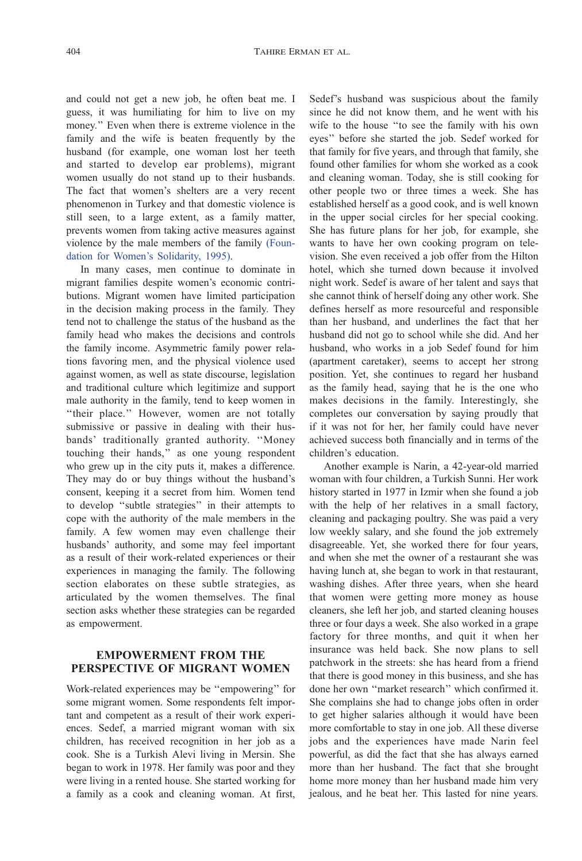and could not get a new job, he often beat me. I guess, it was humiliating for him to live on my money.'' Even when there is extreme violence in the family and the wife is beaten frequently by the husband (for example, one woman lost her teeth and started to develop ear problems), migrant women usually do not stand up to their husbands. The fact that women's shelters are a very recent phenomenon in Turkey and that domestic violence is still seen, to a large extent, as a family matter, prevents women from taking active measures against violence by the male members of the family [\(Foun](#page-14-0)dation for Women's Solidarity, 1995).

In many cases, men continue to dominate in migrant families despite women's economic contributions. Migrant women have limited participation in the decision making process in the family. They tend not to challenge the status of the husband as the family head who makes the decisions and controls the family income. Asymmetric family power relations favoring men, and the physical violence used against women, as well as state discourse, legislation and traditional culture which legitimize and support male authority in the family, tend to keep women in "their place." However, women are not totally submissive or passive in dealing with their husbands' traditionally granted authority. ''Money touching their hands,'' as one young respondent who grew up in the city puts it, makes a difference. They may do or buy things without the husband's consent, keeping it a secret from him. Women tend to develop ''subtle strategies'' in their attempts to cope with the authority of the male members in the family. A few women may even challenge their husbands' authority, and some may feel important as a result of their work-related experiences or their experiences in managing the family. The following section elaborates on these subtle strategies, as articulated by the women themselves. The final section asks whether these strategies can be regarded as empowerment.

### EMPOWERMENT FROM THE PERSPECTIVE OF MIGRANT WOMEN

Work-related experiences may be ''empowering'' for some migrant women. Some respondents felt important and competent as a result of their work experiences. Sedef, a married migrant woman with six children, has received recognition in her job as a cook. She is a Turkish Alevi living in Mersin. She began to work in 1978. Her family was poor and they were living in a rented house. She started working for a family as a cook and cleaning woman. At first,

Sedef's husband was suspicious about the family since he did not know them, and he went with his wife to the house ''to see the family with his own eyes'' before she started the job. Sedef worked for that family for five years, and through that family, she found other families for whom she worked as a cook and cleaning woman. Today, she is still cooking for other people two or three times a week. She has established herself as a good cook, and is well known in the upper social circles for her special cooking. She has future plans for her job, for example, she wants to have her own cooking program on television. She even received a job offer from the Hilton hotel, which she turned down because it involved night work. Sedef is aware of her talent and says that she cannot think of herself doing any other work. She defines herself as more resourceful and responsible than her husband, and underlines the fact that her husband did not go to school while she did. And her husband, who works in a job Sedef found for him (apartment caretaker), seems to accept her strong position. Yet, she continues to regard her husband as the family head, saying that he is the one who makes decisions in the family. Interestingly, she completes our conversation by saying proudly that if it was not for her, her family could have never achieved success both financially and in terms of the children's education.

Another example is Narin, a 42-year-old married woman with four children, a Turkish Sunni. Her work history started in 1977 in Izmir when she found a job with the help of her relatives in a small factory, cleaning and packaging poultry. She was paid a very low weekly salary, and she found the job extremely disagreeable. Yet, she worked there for four years, and when she met the owner of a restaurant she was having lunch at, she began to work in that restaurant, washing dishes. After three years, when she heard that women were getting more money as house cleaners, she left her job, and started cleaning houses three or four days a week. She also worked in a grape factory for three months, and quit it when her insurance was held back. She now plans to sell patchwork in the streets: she has heard from a friend that there is good money in this business, and she has done her own ''market research'' which confirmed it. She complains she had to change jobs often in order to get higher salaries although it would have been more comfortable to stay in one job. All these diverse jobs and the experiences have made Narin feel powerful, as did the fact that she has always earned more than her husband. The fact that she brought home more money than her husband made him very jealous, and he beat her. This lasted for nine years.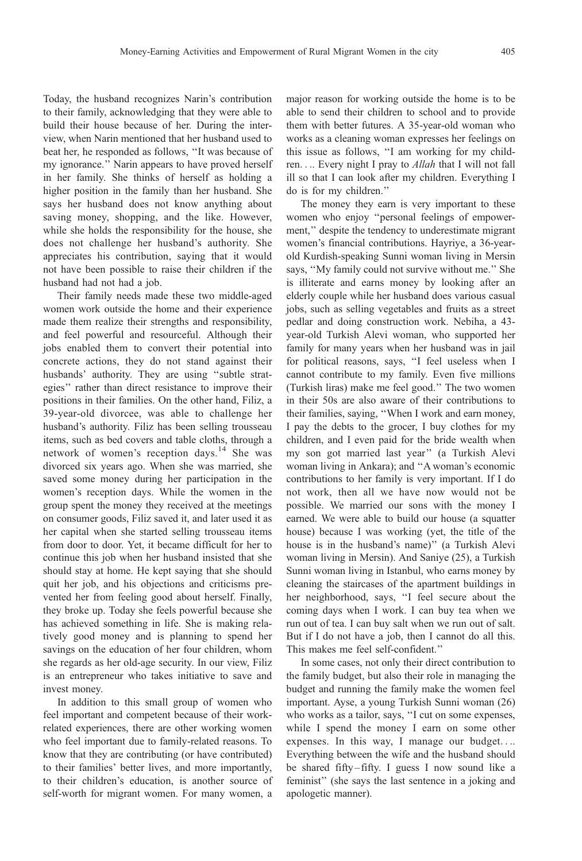Today, the husband recognizes Narin's contribution to their family, acknowledging that they were able to build their house because of her. During the interview, when Narin mentioned that her husband used to beat her, he responded as follows, ''It was because of my ignorance.'' Narin appears to have proved herself in her family. She thinks of herself as holding a higher position in the family than her husband. She says her husband does not know anything about saving money, shopping, and the like. However, while she holds the responsibility for the house, she does not challenge her husband's authority. She appreciates his contribution, saying that it would not have been possible to raise their children if the husband had not had a job.

Their family needs made these two middle-aged women work outside the home and their experience made them realize their strengths and responsibility, and feel powerful and resourceful. Although their jobs enabled them to convert their potential into concrete actions, they do not stand against their husbands' authority. They are using "subtle strategies'' rather than direct resistance to improve their positions in their families. On the other hand, Filiz, a 39-year-old divorcee, was able to challenge her husband's authority. Filiz has been selling trousseau items, such as bed covers and table cloths, through a network of women's reception days.<sup>14</sup> She was divorced six years ago. When she was married, she saved some money during her participation in the women's reception days. While the women in the group spent the money they received at the meetings on consumer goods, Filiz saved it, and later used it as her capital when she started selling trousseau items from door to door. Yet, it became difficult for her to continue this job when her husband insisted that she should stay at home. He kept saying that she should quit her job, and his objections and criticisms prevented her from feeling good about herself. Finally, they broke up. Today she feels powerful because she has achieved something in life. She is making relatively good money and is planning to spend her savings on the education of her four children, whom she regards as her old-age security. In our view, Filiz is an entrepreneur who takes initiative to save and invest money.

In addition to this small group of women who feel important and competent because of their workrelated experiences, there are other working women who feel important due to family-related reasons. To know that they are contributing (or have contributed) to their families' better lives, and more importantly, to their children's education, is another source of self-worth for migrant women. For many women, a

major reason for working outside the home is to be able to send their children to school and to provide them with better futures. A 35-year-old woman who works as a cleaning woman expresses her feelings on this issue as follows, ''I am working for my children.... Every night I pray to *Allah* that I will not fall ill so that I can look after my children. Everything I do is for my children.''

The money they earn is very important to these women who enjoy ''personal feelings of empowerment,'' despite the tendency to underestimate migrant women's financial contributions. Hayriye, a 36-yearold Kurdish-speaking Sunni woman living in Mersin says, ''My family could not survive without me.'' She is illiterate and earns money by looking after an elderly couple while her husband does various casual jobs, such as selling vegetables and fruits as a street pedlar and doing construction work. Nebiha, a 43 year-old Turkish Alevi woman, who supported her family for many years when her husband was in jail for political reasons, says, ''I feel useless when I cannot contribute to my family. Even five millions (Turkish liras) make me feel good.'' The two women in their 50s are also aware of their contributions to their families, saying, ''When I work and earn money, I pay the debts to the grocer, I buy clothes for my children, and I even paid for the bride wealth when my son got married last year'' (a Turkish Alevi woman living in Ankara); and ''A woman's economic contributions to her family is very important. If I do not work, then all we have now would not be possible. We married our sons with the money I earned. We were able to build our house (a squatter house) because I was working (yet, the title of the house is in the husband's name)'' (a Turkish Alevi woman living in Mersin). And Saniye (25), a Turkish Sunni woman living in Istanbul, who earns money by cleaning the staircases of the apartment buildings in her neighborhood, says, ''I feel secure about the coming days when I work. I can buy tea when we run out of tea. I can buy salt when we run out of salt. But if I do not have a job, then I cannot do all this. This makes me feel self-confident.''

In some cases, not only their direct contribution to the family budget, but also their role in managing the budget and running the family make the women feel important. Ayse, a young Turkish Sunni woman (26) who works as a tailor, says, ''I cut on some expenses, while I spend the money I earn on some other expenses. In this way, I manage our budget.... Everything between the wife and the husband should be shared fifty-fifty. I guess I now sound like a feminist'' (she says the last sentence in a joking and apologetic manner).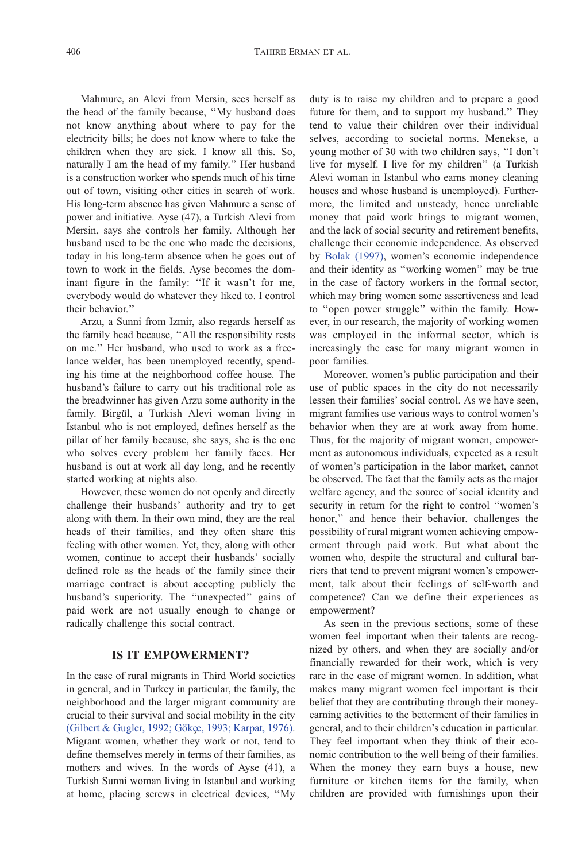Mahmure, an Alevi from Mersin, sees herself as the head of the family because, ''My husband does not know anything about where to pay for the electricity bills; he does not know where to take the children when they are sick. I know all this. So, naturally I am the head of my family.'' Her husband is a construction worker who spends much of his time out of town, visiting other cities in search of work. His long-term absence has given Mahmure a sense of power and initiative. Ayse (47), a Turkish Alevi from Mersin, says she controls her family. Although her husband used to be the one who made the decisions, today in his long-term absence when he goes out of town to work in the fields, Ayse becomes the dominant figure in the family: ''If it wasn't for me, everybody would do whatever they liked to. I control their behavior.''

Arzu, a Sunni from Izmir, also regards herself as the family head because, ''All the responsibility rests on me.'' Her husband, who used to work as a freelance welder, has been unemployed recently, spending his time at the neighborhood coffee house. The husband's failure to carry out his traditional role as the breadwinner has given Arzu some authority in the family. Birgül, a Turkish Alevi woman living in Istanbul who is not employed, defines herself as the pillar of her family because, she says, she is the one who solves every problem her family faces. Her husband is out at work all day long, and he recently started working at nights also.

However, these women do not openly and directly challenge their husbands' authority and try to get along with them. In their own mind, they are the real heads of their families, and they often share this feeling with other women. Yet, they, along with other women, continue to accept their husbands' socially defined role as the heads of the family since their marriage contract is about accepting publicly the husband's superiority. The ''unexpected'' gains of paid work are not usually enough to change or radically challenge this social contract.

## IS IT EMPOWERMENT?

In the case of rural migrants in Third World societies in general, and in Turkey in particular, the family, the neighborhood and the larger migrant community are crucial to their survival and social mobility in the city (Gilbert & Gugler, 1992; Gökçe, 1993; Karpat, 1976). Migrant women, whether they work or not, tend to define themselves merely in terms of their families, as mothers and wives. In the words of Ayse (41), a Turkish Sunni woman living in Istanbul and working at home, placing screws in electrical devices, ''My

duty is to raise my children and to prepare a good future for them, and to support my husband.'' They tend to value their children over their individual selves, according to societal norms. Menekse, a young mother of 30 with two children says, ''I don't live for myself. I live for my children'' (a Turkish Alevi woman in Istanbul who earns money cleaning houses and whose husband is unemployed). Furthermore, the limited and unsteady, hence unreliable money that paid work brings to migrant women, and the lack of social security and retirement benefits, challenge their economic independence. As observed by [Bolak \(1997\),](#page-14-0) women's economic independence and their identity as ''working women'' may be true in the case of factory workers in the formal sector, which may bring women some assertiveness and lead to ''open power struggle'' within the family. However, in our research, the majority of working women was employed in the informal sector, which is increasingly the case for many migrant women in poor families.

Moreover, women's public participation and their use of public spaces in the city do not necessarily lessen their families' social control. As we have seen, migrant families use various ways to control women's behavior when they are at work away from home. Thus, for the majority of migrant women, empowerment as autonomous individuals, expected as a result of women's participation in the labor market, cannot be observed. The fact that the family acts as the major welfare agency, and the source of social identity and security in return for the right to control ''women's honor,'' and hence their behavior, challenges the possibility of rural migrant women achieving empowerment through paid work. But what about the women who, despite the structural and cultural barriers that tend to prevent migrant women's empowerment, talk about their feelings of self-worth and competence? Can we define their experiences as empowerment?

As seen in the previous sections, some of these women feel important when their talents are recognized by others, and when they are socially and/or financially rewarded for their work, which is very rare in the case of migrant women. In addition, what makes many migrant women feel important is their belief that they are contributing through their moneyearning activities to the betterment of their families in general, and to their children's education in particular. They feel important when they think of their economic contribution to the well being of their families. When the money they earn buys a house, new furniture or kitchen items for the family, when children are provided with furnishings upon their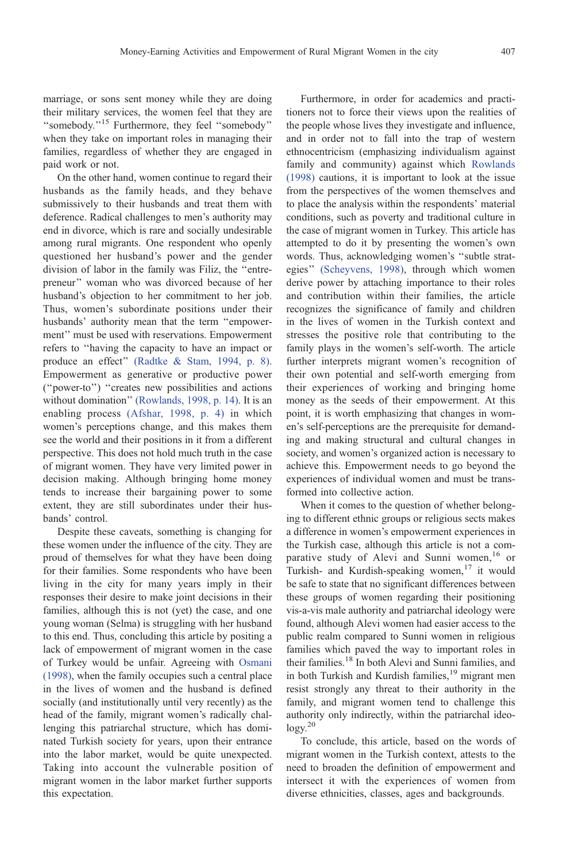marriage, or sons sent money while they are doing their military services, the women feel that they are ''somebody.''<sup>15</sup> Furthermore, they feel ''somebody'' when they take on important roles in managing their families, regardless of whether they are engaged in paid work or not.

On the other hand, women continue to regard their husbands as the family heads, and they behave submissively to their husbands and treat them with deference. Radical challenges to men's authority may end in divorce, which is rare and socially undesirable among rural migrants. One respondent who openly questioned her husband's power and the gender division of labor in the family was Filiz, the ''entrepreneur'' woman who was divorced because of her husband's objection to her commitment to her job. Thus, women's subordinate positions under their husbands' authority mean that the term "empowerment'' must be used with reservations. Empowerment refers to ''having the capacity to have an impact or produce an effect'' [\(Radtke & Stam, 1994, p. 8\).](#page-15-0) Empowerment as generative or productive power (''power-to'') ''creates new possibilities and actions without domination" [\(Rowlands, 1998, p. 14\).](#page-15-0) It is an enabling process [\(Afshar, 1998, p. 4\)](#page-14-0) in which women's perceptions change, and this makes them see the world and their positions in it from a different perspective. This does not hold much truth in the case of migrant women. They have very limited power in decision making. Although bringing home money tends to increase their bargaining power to some extent, they are still subordinates under their husbands' control.

Despite these caveats, something is changing for these women under the influence of the city. They are proud of themselves for what they have been doing for their families. Some respondents who have been living in the city for many years imply in their responses their desire to make joint decisions in their families, although this is not (yet) the case, and one young woman (Selma) is struggling with her husband to this end. Thus, concluding this article by positing a lack of empowerment of migrant women in the case of Turkey would be unfair. Agreeing with [Osmani](#page-15-0) (1998), when the family occupies such a central place in the lives of women and the husband is defined socially (and institutionally until very recently) as the head of the family, migrant women's radically challenging this patriarchal structure, which has dominated Turkish society for years, upon their entrance into the labor market, would be quite unexpected. Taking into account the vulnerable position of migrant women in the labor market further supports this expectation.

Furthermore, in order for academics and practitioners not to force their views upon the realities of the people whose lives they investigate and influence, and in order not to fall into the trap of western ethnocentricism (emphasizing individualism against family and community) against which [Rowlands](#page-15-0) (1998) cautions, it is important to look at the issue from the perspectives of the women themselves and to place the analysis within the respondents' material conditions, such as poverty and traditional culture in the case of migrant women in Turkey. This article has attempted to do it by presenting the women's own words. Thus, acknowledging women's ''subtle strategies'' [\(Scheyvens, 1998\),](#page-15-0) through which women derive power by attaching importance to their roles and contribution within their families, the article recognizes the significance of family and children in the lives of women in the Turkish context and stresses the positive role that contributing to the family plays in the women's self-worth. The article further interprets migrant women's recognition of their own potential and self-worth emerging from their experiences of working and bringing home money as the seeds of their empowerment. At this point, it is worth emphasizing that changes in women's self-perceptions are the prerequisite for demanding and making structural and cultural changes in society, and women's organized action is necessary to achieve this. Empowerment needs to go beyond the experiences of individual women and must be transformed into collective action.

When it comes to the question of whether belonging to different ethnic groups or religious sects makes a difference in women's empowerment experiences in the Turkish case, although this article is not a comparative study of Alevi and Sunni women,<sup>16</sup> or Turkish- and Kurdish-speaking women, $17$  it would be safe to state that no significant differences between these groups of women regarding their positioning vis-a-vis male authority and patriarchal ideology were found, although Alevi women had easier access to the public realm compared to Sunni women in religious families which paved the way to important roles in their families.<sup>18</sup> In both Alevi and Sunni families, and in both Turkish and Kurdish families,<sup>19</sup> migrant men resist strongly any threat to their authority in the family, and migrant women tend to challenge this authority only indirectly, within the patriarchal ideo- $\log y^{20}$ 

To conclude, this article, based on the words of migrant women in the Turkish context, attests to the need to broaden the definition of empowerment and intersect it with the experiences of women from diverse ethnicities, classes, ages and backgrounds.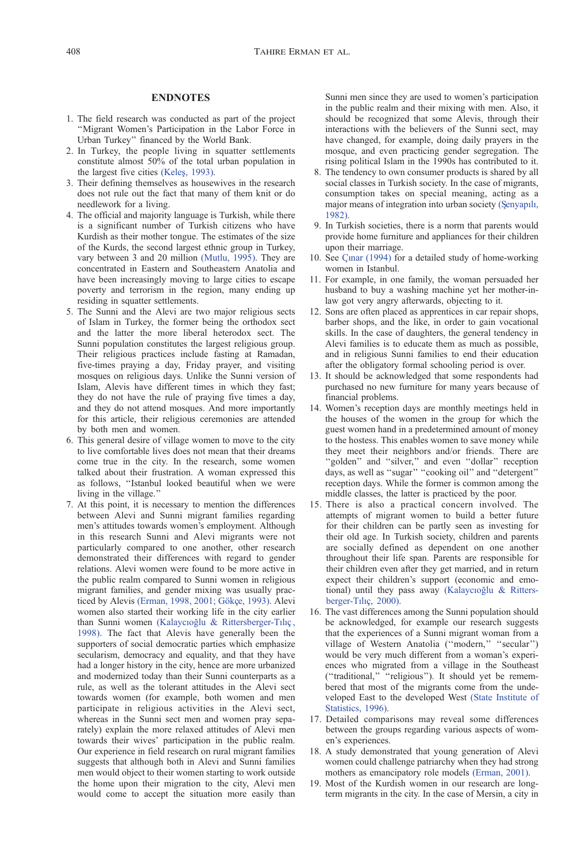#### ENDNOTES

- 1. The field research was conducted as part of the project ''Migrant Women's Participation in the Labor Force in Urban Turkey'' financed by the World Bank.
- 2. In Turkey, the people living in squatter settlements constitute almost 50[% of the total](#page-15-0) urban population in the largest five cities (Keles, 1993).
- 3. Their defining themselves as housewives in the research does not rule out the fact that many of them knit or do needlework for a living.
- 4. The official and majority language is Turkish, while there is a significant number of Turkish citizens who have Kurdish as their mother tongue. The estimates of the size of the Kurds, the second largest ethnic group in Turkey, vary between 3 and 20 million [\(Mutlu, 1995\).](#page-15-0) They are concentrated in Eastern and Southeastern Anatolia and have been increasingly moving to large cities to escape poverty and terrorism in the region, many ending up residing in squatter settlements.
- 5. The Sunni and the Alevi are two major religious sects of Islam in Turkey, the former being the orthodox sect and the latter the more liberal heterodox sect. The Sunni population constitutes the largest religious group. Their religious practices include fasting at Ramadan, five-times praying a day, Friday prayer, and visiting mosques on religious days. Unlike the Sunni version of Islam, Alevis have different times in which they fast; they do not have the rule of praying five times a day, and they do not attend mosques. And more importantly for this article, their religious ceremonies are attended by both men and women.
- 6. This general desire of village women to move to the city to live comfortable lives does not mean that their dreams come true in the city. In the research, some women talked about their frustration. A woman expressed this as follows, ''Istanbul looked beautiful when we were living in the village.''
- 7. At this point, it is necessary to mention the differences between Alevi and Sunni migrant families regarding men's attitudes towards women's employment. Although in this research Sunni and Alevi migrants were not particularly compared to one another, other research demonstrated their differences with regard to gender relations. Alevi women were found to be more active in the public realm compared to Sunni women in religious migrant families, and gender mixing was usually practiced by Alevis (Erman, 1998, 2001; Gökçe, 1993). Alevi women also started their working life in the city earlier than Sunni women (Kalaycıoğlu & Rittersberger-Tılıç, 1998). The fact that Alevis have generally been the supporters of social democratic parties which emphasize secularism, democracy and equality, and that they have had a longer history in the city, hence are more urbanized and modernized today than their Sunni counterparts as a rule, as well as the tolerant attitudes in the Alevi sect towards women (for example, both women and men participate in religious activities in the Alevi sect, whereas in the Sunni sect men and women pray separately) explain the more relaxed attitudes of Alevi men towards their wives' participation in the public realm. Our experience in field research on rural migrant families suggests that although both in Alevi and Sunni families men would object to their women starting to work outside the home upon their migration to the city, Alevi men would come to accept the situation more easily than

Sunni men since they are used to women's participation in the public realm and their mixing with men. Also, it should be recognized that some Alevis, through their interactions with the believers of the Sunni sect, may have changed, for example, doing daily prayers in the mosque, and even practicing gender segregation. The rising political Islam in the 1990s has contributed to it.

- 8. The tendency to own consumer products is shared by all social classes in Turkish society. In the case of migrants, consumption takes on special meaning, acting as a major means of integration into urban society (S[enyapılı,](#page-15-0) 1982).
- 9. In Turkish societies, there is a norm that parents would provide home furniture and appliances for their children upon their marriage.
- 10. See C[ınar \(1994\)](#page-14-0) for a detailed study of home-working women in Istanbul.
- 11. For example, in one family, the woman persuaded her husband to buy a washing machine yet her mother-inlaw got very angry afterwards, objecting to it.
- 12. Sons are often placed as apprentices in car repair shops, barber shops, and the like, in order to gain vocational skills. In the case of daughters, the general tendency in Alevi families is to educate them as much as possible, and in religious Sunni families to end their education after the obligatory formal schooling period is over.
- 13. It should be acknowledged that some respondents had purchased no new furniture for many years because of financial problems.
- 14. Women's reception days are monthly meetings held in the houses of the women in the group for which the guest women hand in a predetermined amount of money to the hostess. This enables women to save money while they meet their neighbors and/or friends. There are "golden" and "silver," and even "dollar" reception days, as well as "sugar" "cooking oil" and "detergent" reception days. While the former is common among the middle classes, the latter is practiced by the poor.
- 15. There is also a practical concern involved. The attempts of migrant women to build a better future for their children can be partly seen as investing for their old age. In Turkish society, children and parents are socially defined as dependent on one another throughout their life span. Parents are responsible for their children even after they get married, and in return expect their children's support (economic and emotional) until they pass away (Kalaycıoğlu & Rittersberger-Tılıç, 2000).
- 16. The vast differences among the Sunni population should be acknowledged, for example our research suggests that the experiences of a Sunni migrant woman from a village of Western Anatolia ("modern," "secular") would be very much different from a woman's experiences who migrated from a village in the Southeast (''traditional,'' ''religious''). It should yet be remembered that most of the migrants come from the undeveloped East to the developed West [\(State Institute of](#page-15-0) Statistics, 1996).
- 17. Detailed comparisons may reveal some differences between the groups regarding various aspects of women's experiences.
- 18. A study demonstrated that young generation of Alevi women could challenge patriarchy when they had strong mothers as emancipatory role models [\(Erman, 2001\).](#page-14-0)
- 19. Most of the Kurdish women in our research are longterm migrants in the city. In the case of Mersin, a city in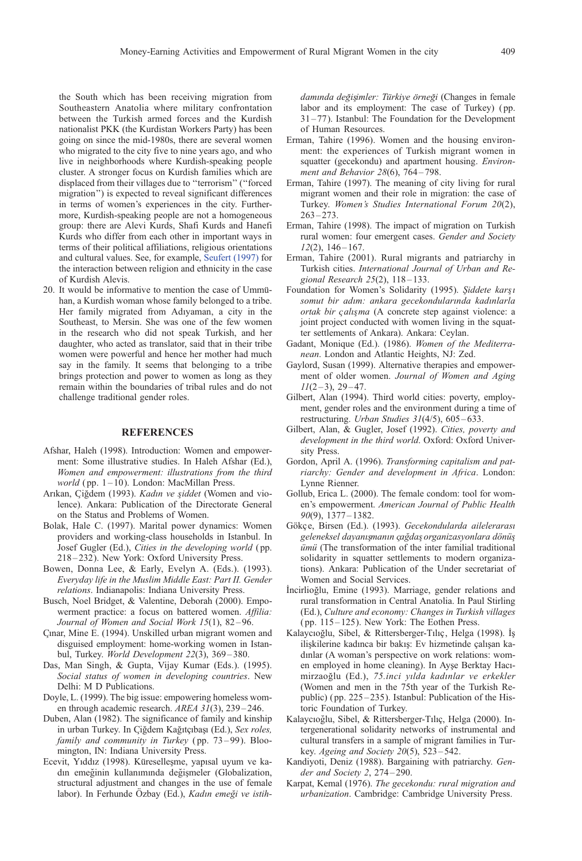<span id="page-14-0"></span>the South which has been receiving migration from Southeastern Anatolia where military confrontation between the Turkish armed forces and the Kurdish nationalist PKK (the Kurdistan Workers Party) has been going on since the mid-1980s, there are several women who migrated to the city five to nine years ago, and who live in neighborhoods where Kurdish-speaking people cluster. A stronger focus on Kurdish families which are displaced from their villages due to ''terrorism'' (''forced migration'') is expected to reveal significant differences in terms of women's experiences in the city. Furthermore, Kurdish-speaking people are not a homogeneous group: there are Alevi Kurds, Shafi Kurds and Hanefi Kurds who differ from each other in important ways in terms of their political affiliations, religious orientations and cultural values. See, for example, [Seufert \(1997\)](#page-15-0) for the interaction between religion and ethnicity in the case of Kurdish Alevis.

20. It would be informative to mention the case of Ummühan, a Kurdish woman whose family belonged to a tribe. Her family migrated from Adıyaman, a city in the Southeast, to Mersin. She was one of the few women in the research who did not speak Turkish, and her daughter, who acted as translator, said that in their tribe women were powerful and hence her mother had much say in the family. It seems that belonging to a tribe brings protection and power to women as long as they remain within the boundaries of tribal rules and do not challenge traditional gender roles.

#### **REFERENCES**

- Afshar, Haleh (1998). Introduction: Women and empowerment: Some illustrative studies. In Haleh Afshar (Ed.), Women and empowerment: illustrations from the third world (pp. 1-10). London: MacMillan Press.
- Arıkan, Çiğdem (1993). Kadın ve şiddet (Women and violence). Ankara: Publication of the Directorate General on the Status and Problems of Women.
- Bolak, Hale C. (1997). Marital power dynamics: Women providers and working-class households in Istanbul. In Josef Gugler (Ed.), Cities in the developing world (pp. 218 – 232). New York: Oxford University Press.
- Bowen, Donna Lee, & Early, Evelyn A. (Eds.). (1993). Everyday life in the Muslim Middle East: Part II. Gender relations. Indianapolis: Indiana University Press.
- Busch, Noel Bridget, & Valentine, Deborah (2000). Empowerment practice: a focus on battered women. Affilia: Journal of Women and Social Work 15(1), 82-96.
- Cınar, Mine E. (1994). Unskilled urban migrant women and disguised employment: home-working women in Istanbul, Turkey. World Development 22(3), 369 – 380.
- Das, Man Singh, & Gupta, Vijay Kumar (Eds.). (1995). Social status of women in developing countries. New Delhi: M D Publications.
- Doyle, L. (1999). The big issue: empowering homeless women through academic research. AREA 31(3), 239-246.
- Duben, Alan (1982). The significance of family and kinship in urban Turkey. In Çiğdem Kağıtçıbaşı (Ed.), Sex roles, family and community in Turkey (pp. 73-99). Bloomington, IN: Indiana University Press.
- Ecevit, Yıddız (1998). Küreselleşme, yapısal uyum ve kadın emeğinin kullanımında değişmeler (Globalization, structural adjustment and changes in the use of female labor). In Ferhunde Özbay (Ed.), Kadın emeği ve istih-

damında değişimler: Türkiye örneği (Changes in female labor and its employment: The case of Turkey) ( pp.  $31 - 77$ ). Istanbul: The Foundation for the Development of Human Resources.

- Erman, Tahire (1996). Women and the housing environment: the experiences of Turkish migrant women in squatter (gecekondu) and apartment housing. Environment and Behavior 28(6), 764-798.
- Erman, Tahire (1997). The meaning of city living for rural migrant women and their role in migration: the case of Turkey. Women's Studies International Forum 20(2),  $263 - 273$ .
- Erman, Tahire (1998). The impact of migration on Turkish rural women: four emergent cases. Gender and Society  $12(2)$ ,  $146 - 167$ .
- Erman, Tahire (2001). Rural migrants and patriarchy in Turkish cities. International Journal of Urban and Regional Research 25(2), 118-133.
- Foundation for Women's Solidarity (1995). Siddete karsı somut bir adım: ankara gecekondularında kadınlarla ortak bir calısma (A concrete step against violence: a joint project conducted with women living in the squatter settlements of Ankara). Ankara: Ceylan.
- Gadant, Monique (Ed.). (1986). Women of the Mediterranean. London and Atlantic Heights, NJ: Zed.
- Gaylord, Susan (1999). Alternative therapies and empowerment of older women. Journal of Women and Aging  $11(2-3), 29-47.$
- Gilbert, Alan (1994). Third world cities: poverty, employment, gender roles and the environment during a time of restructuring. Urban Studies 31(4/5), 605-633.
- Gilbert, Alan, & Gugler, Josef (1992). Cities, poverty and development in the third world. Oxford: Oxford University Press.
- Gordon, April A. (1996). Transforming capitalism and patriarchy: Gender and development in Africa. London: Lynne Rienner.
- Gollub, Erica L. (2000). The female condom: tool for women's empowerment. American Journal of Public Health 90(9), 1377 – 1382.
- Gökçe, Birsen (Ed.). (1993). Gecekondularda ailelerarası geleneksel dayanışmanın çağdaş organizasyonlara dönüş ümü (The transformation of the inter familial traditional solidarity in squatter settlements to modern organizations). Ankara: Publication of the Under secretariat of Women and Social Services.
- İncirlioğlu, Emine (1993). Marriage, gender relations and rural transformation in Central Anatolia. In Paul Stirling (Ed.), Culture and economy: Changes in Turkish villages ( pp. 115 – 125). New York: The Eothen Press.
- Kalaycıoğlu, Sibel, & Rittersberger-Tılıç, Helga (1998). İş iliskilerine kadınca bir bakıs: Ev hizmetinde calısan kadınlar (A woman's perspective on work relations: women employed in home cleaning). In Ayse Berktay Hacımirzaoğlu (Ed.), 75.inci yılda kadınlar ve erkekler (Women and men in the 75th year of the Turkish Republic) ( $pp. 225-235$ ). Istanbul: Publication of the Historic Foundation of Turkey.
- Kalaycıoğlu, Sibel, & Rittersberger-Tılıç, Helga (2000). Intergenerational solidarity networks of instrumental and cultural transfers in a sample of migrant families in Turkey. Ageing and Society 20(5), 523-542.
- Kandiyoti, Deniz (1988). Bargaining with patriarchy. Gender and Society 2, 274-290.
- Karpat, Kemal (1976). The gecekondu: rural migration and urbanization. Cambridge: Cambridge University Press.